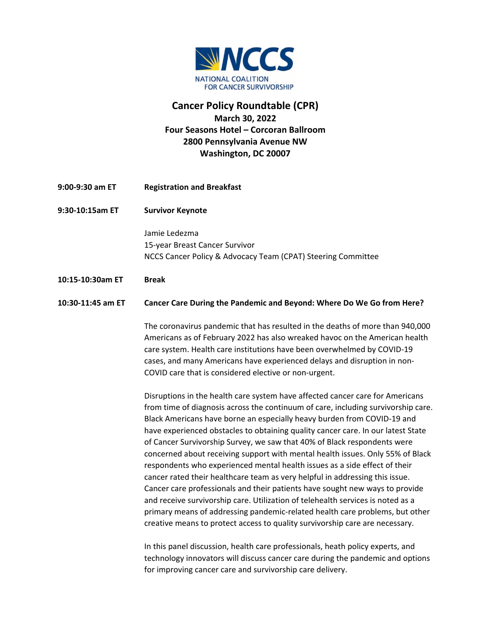

## **Cancer Policy Roundtable (CPR) March 30, 2022 Four Seasons Hotel – Corcoran Ballroom 2800 Pennsylvania Avenue NW Washington, DC 20007**

- **9:00-9:30 am ET Registration and Breakfast**
- **9:30-10:15am ET Survivor Keynote**

Jamie Ledezma 15-year Breast Cancer Survivor NCCS Cancer Policy & Advocacy Team (CPAT) Steering Committee

**10:15-10:30am ET Break**

## **10:30-11:45 am ET Cancer Care During the Pandemic and Beyond: Where Do We Go from Here?**

The coronavirus pandemic that has resulted in the deaths of more than 940,000 Americans as of February 2022 has also wreaked havoc on the American health care system. Health care institutions have been overwhelmed by COVID-19 cases, and many Americans have experienced delays and disruption in non-COVID care that is considered elective or non-urgent.

Disruptions in the health care system have affected cancer care for Americans from time of diagnosis across the continuum of care, including survivorship care. Black Americans have borne an especially heavy burden from COVID-19 and have experienced obstacles to obtaining quality cancer care. In our latest State of Cancer Survivorship Survey, we saw that 40% of Black respondents were concerned about receiving support with mental health issues. Only 55% of Black respondents who experienced mental health issues as a side effect of their cancer rated their healthcare team as very helpful in addressing this issue. Cancer care professionals and their patients have sought new ways to provide and receive survivorship care. Utilization of telehealth services is noted as a primary means of addressing pandemic-related health care problems, but other creative means to protect access to quality survivorship care are necessary.

In this panel discussion, health care professionals, heath policy experts, and technology innovators will discuss cancer care during the pandemic and options for improving cancer care and survivorship care delivery.